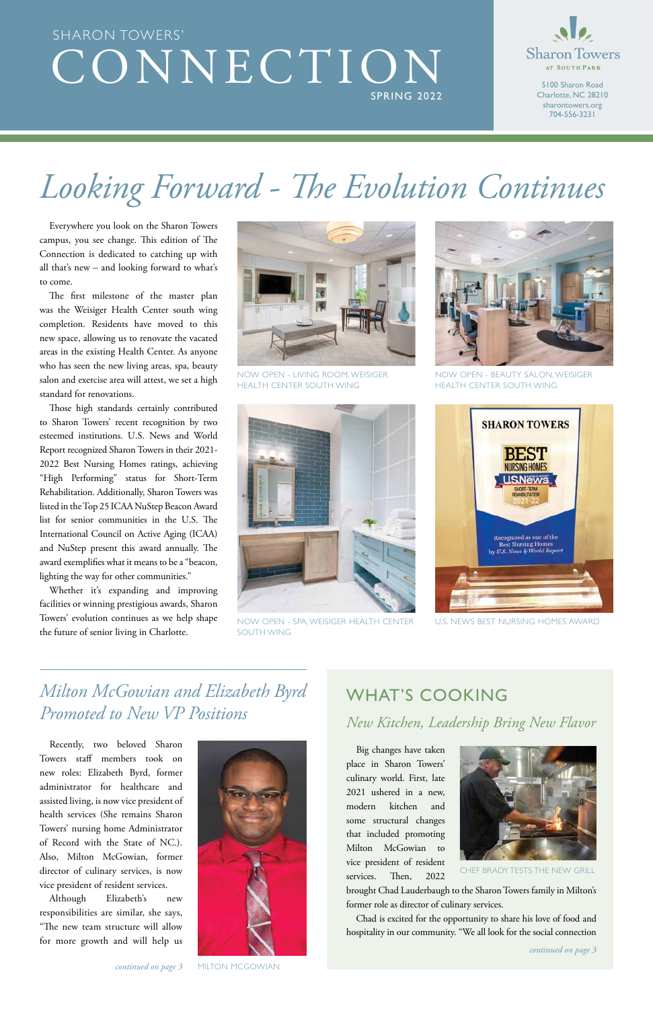*continued on page 3*

Big changes have taken place in Sharon Towers' culinary world. First, late 2021 ushered in a new, modern kitchen and some structural changes that included promoting Milton McGowian to vice president of resident services. Then, 2022



brought Chad Lauderbaugh to the Sharon Towers family in Milton's former role as director of culinary services.

Chad is excited for the opportunity to share his love of food and hospitality in our community. "We all look for the social connection

### WHAT'S COOKING *New Kitchen, Leadership Bring New Flavor*

## CONNECTION SPRING 2022 SHARON TOWERS'



CHEF BRADY TESTS THE NEW GRILL



NOW OPEN - LIVING ROOM, WEISIGER HEALTH CENTER SOUTH WING

Recently, two beloved Sharon Towers staff members took on new roles: Elizabeth Byrd, former administrator for healthcare and assisted living, is now vice president of health services (She remains Sharon Towers' nursing home Administrator of Record with the State of NC.). Also, Milton McGowian, former director of culinary services, is now vice president of resident services.

Although Elizabeth's new responsibilities are similar, she says, "The new team structure will allow for more growth and will help us



5100 Sharon Road Charlotte, NC 28210 sharontowers.org 704-556-3231

*continued on page 3* MILTON MCGOWIAN

*Milton McGowian and Elizabeth Byrd Promoted to New VP Positions*

# *Looking Forward - The Evolution Continues*

Everywhere you look on the Sharon Towers campus, you see change. This edition of The Connection is dedicated to catching up with all that's new – and looking forward to what's to come.

The first milestone of the master plan was the Weisiger Health Center south wing completion. Residents have moved to this new space, allowing us to renovate the vacated areas in the existing Health Center. As anyone who has seen the new living areas, spa, beauty salon and exercise area will attest, we set a high standard for renovations.

Those high standards certainly contributed to Sharon Towers' recent recognition by two esteemed institutions. U.S. News and World Report recognized Sharon Towers in their 2021- 2022 Best Nursing Homes ratings, achieving "High Performing" status for Short-Term Rehabilitation. Additionally, Sharon Towers was listed in the Top 25 ICAA NuStep Beacon Award list for senior communities in the U.S. The International Council on Active Aging (ICAA) and NuStep present this award annually. The award exemplifies what it means to be a "beacon, lighting the way for other communities."

Whether it's expanding and improving facilities or winning prestigious awards, Sharon Towers' evolution continues as we help shape the future of senior living in Charlotte.



NOW OPEN - SPA, WEISIGER HEALTH CENTER SOUTH WING



NOW OPEN - BEAUTY SALON, WEISIGER HEALTH CENTER SOUTH WING



U.S. NEWS BEST NURSING HOMES AWARD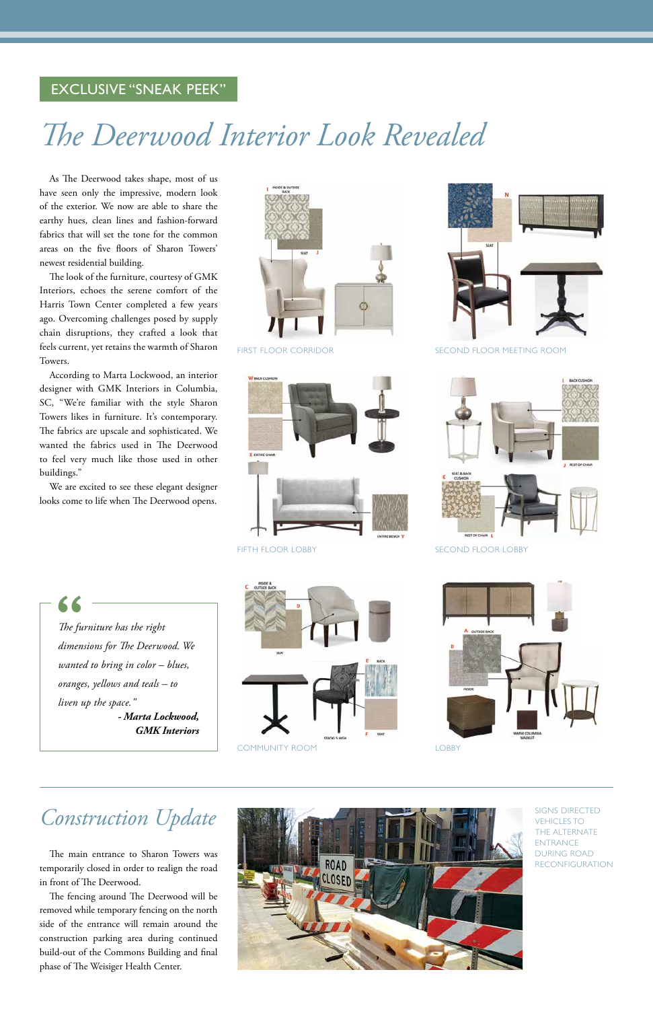## *The Deerwood Interior Look Revealed*

## *Construction Update*

As The Deerwood takes shape, most of us have seen only the impressive, modern look of the exterior. We now are able to share the earthy hues, clean lines and fashion-forward fabrics that will set the tone for the common areas on the five floors of Sharon Towers' newest residential building.

The look of the furniture, courtesy of GMK Interiors, echoes the serene comfort of the Harris Town Center completed a few years ago. Overcoming challenges posed by supply chain disruptions, they crafted a look that feels current, yet retains the warmth of Sharon Towers.

*The furniture has the right dimensions for The Deerwood. We wanted to bring in color – blues, oranges, yellows and teals – to liven up the space." - Marta Lockwood, GMK Interiors* Note:<br>The furn<br>dimension



According to Marta Lockwood, an interior designer with GMK Interiors in Columbia, SC, "We're familiar with the style Sharon Towers likes in furniture. It's contemporary. The fabrics are upscale and sophisticated. We wanted the fabrics used in The Deerwood to feel very much like those used in other buildings."

We are excited to see these elegant designer looks come to life when The Deerwood opens.







FIRST FLOOR CORRIDOR SECOND FLOOR MEETING ROOM



FIFTH FLOOR LOBBY SECOND FLOOR LOBBY



The main entrance to Sharon Towers was temporarily closed in order to realign the road in front of The Deerwood.

The fencing around The Deerwood will be removed while temporary fencing on the north side of the entrance will remain around the construction parking area during continued build-out of the Commons Building and final phase of The Weisiger Health Center.



#### EXCLUSIVE "SNEAK PEEK"

COMMUNITY ROOM LOBBY

SIGNS DIRECTED VEHICLES TO THE ALTERNATE ENTRANCE DURING ROAD RECONFIGURATION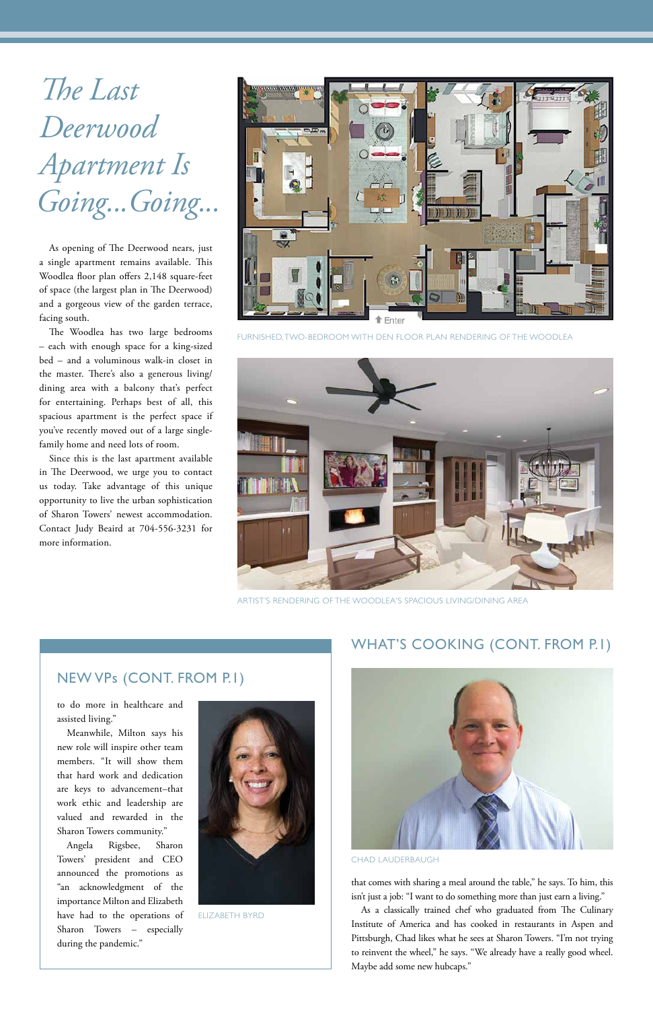to do more in healthcare and assisted living."

Meanwhile, Milton says his



new role will inspire other team members. "It will show them that hard work and dedication are keys to advancement–that work ethic and leadership are valued and rewarded in the Sharon Towers community." Angela Rigsbee, Sharon Towers' president and CEO announced the promotions as "an acknowledgment of the importance Milton and Elizabeth have had to the operations of Sharon Towers – especially during the pandemic."

### NEW VPs (CONT. FROM P.1)

ELIZABETH BYRD

As opening of The Deerwood nears, just a single apartment remains available. This Woodlea floor plan offers 2,148 square-feet of space (the largest plan in The Deerwood) and a gorgeous view of the garden terrace, facing south.

The Woodlea has two large bedrooms – each with enough space for a king-sized bed – and a voluminous walk-in closet in the master. There's also a generous living/ dining area with a balcony that's perfect for entertaining. Perhaps best of all, this spacious apartment is the perfect space if you've recently moved out of a large singlefamily home and need lots of room.

## *Going...Going... The Last Deerwood Apartment Is*

Since this is the last apartment available in The Deerwood, we urge you to contact us today. Take advantage of this unique opportunity to live the urban sophistication of Sharon Towers' newest accommodation. Contact Judy Beaird at 704-556-3231 for more information.



FURNISHED, TWO-BEDROOM WITH DEN FLOOR PLAN RENDERING OF THE WOODLEA



ARTIST'S RENDERING OF THE WOODLEA'S SPACIOUS LIVING/DINING AREA

#### WHAT'S COOKING (CONT. FROM P.1)



CHAD LAUDERBAUGH

that comes with sharing a meal around the table," he says. To him, this isn't just a job: "I want to do something more than just earn a living." As a classically trained chef who graduated from The Culinary Institute of America and has cooked in restaurants in Aspen and Pittsburgh, Chad likes what he sees at Sharon Towers. "I'm not trying to reinvent the wheel," he says. "We already have a really good wheel. Maybe add some new hubcaps."